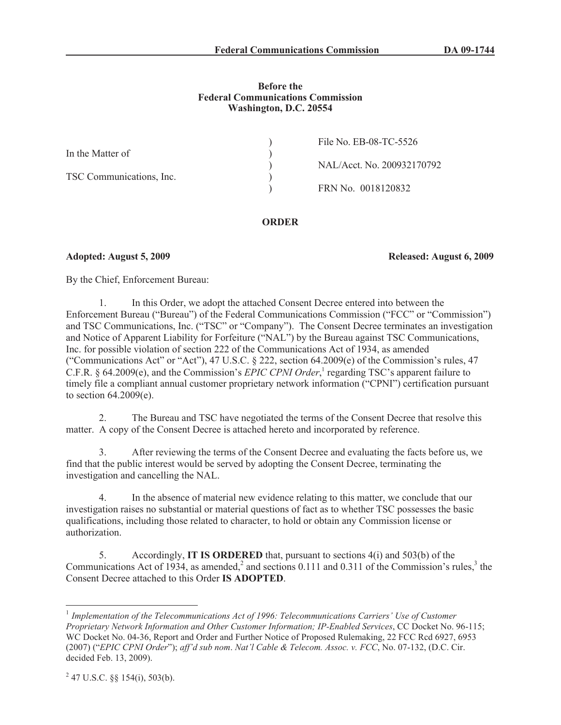# **Before the Federal Communications Commission Washington, D.C. 20554**

| File No. EB-08-TC-5526     |
|----------------------------|
|                            |
| NAL/Acct. No. 200932170792 |
|                            |
| FRN No. 0018120832         |
|                            |

**ORDER**

**Adopted: August 5, 2009 Released: August 6, 2009**

By the Chief, Enforcement Bureau:

1. In this Order, we adopt the attached Consent Decree entered into between the Enforcement Bureau ("Bureau") of the Federal Communications Commission ("FCC" or "Commission") and TSC Communications, Inc. ("TSC" or "Company"). The Consent Decree terminates an investigation and Notice of Apparent Liability for Forfeiture ("NAL") by the Bureau against TSC Communications, Inc. for possible violation of section 222 of the Communications Act of 1934, as amended ("Communications Act" or "Act"), 47 U.S.C. § 222, section 64.2009(e) of the Commission's rules, 47 C.F.R. § 64.2009(e), and the Commission's *EPIC CPNI Order*,<sup>1</sup> regarding TSC's apparent failure to timely file a compliant annual customer proprietary network information ("CPNI") certification pursuant to section 64.2009(e).

2. The Bureau and TSC have negotiated the terms of the Consent Decree that resolve this matter. A copy of the Consent Decree is attached hereto and incorporated by reference.

3. After reviewing the terms of the Consent Decree and evaluating the facts before us, we find that the public interest would be served by adopting the Consent Decree, terminating the investigation and cancelling the NAL.

4. In the absence of material new evidence relating to this matter, we conclude that our investigation raises no substantial or material questions of fact as to whether TSC possesses the basic qualifications, including those related to character, to hold or obtain any Commission license or authorization.

5. Accordingly, **IT IS ORDERED** that, pursuant to sections 4(i) and 503(b) of the Communications Act of 1934, as amended,<sup>2</sup> and sections 0.111 and 0.311 of the Commission's rules,<sup>3</sup> the Consent Decree attached to this Order **IS ADOPTED**.

<sup>&</sup>lt;sup>1</sup> Implementation of the Telecommunications Act of 1996: Telecommunications Carriers' Use of Customer *Proprietary Network Information and Other Customer Information; IP-Enabled Services*, CC Docket No. 96-115; WC Docket No. 04-36, Report and Order and Further Notice of Proposed Rulemaking, 22 FCC Rcd 6927, 6953 (2007) ("*EPIC CPNI Order*"); *aff'd sub nom*. *Nat'l Cable & Telecom. Assoc. v. FCC*, No. 07-132, (D.C. Cir. decided Feb. 13, 2009).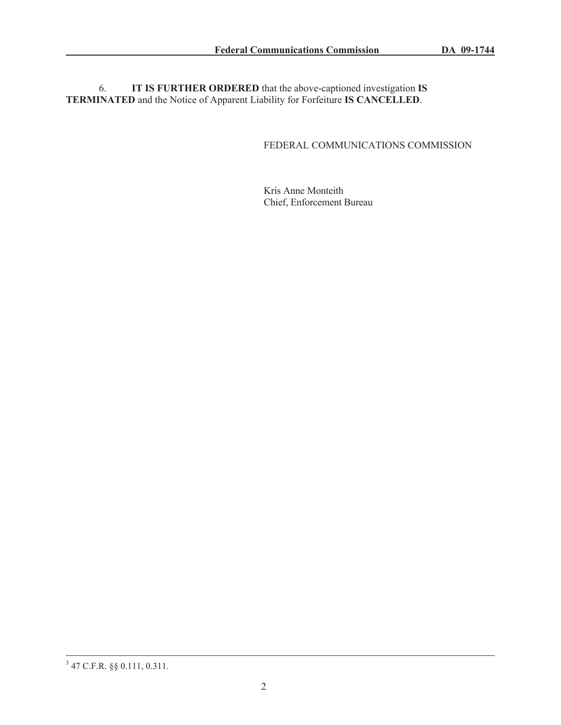6. **IT IS FURTHER ORDERED** that the above-captioned investigation **IS TERMINATED** and the Notice of Apparent Liability for Forfeiture **IS CANCELLED**.

# FEDERAL COMMUNICATIONS COMMISSION

Kris Anne Monteith Chief, Enforcement Bureau

<sup>3</sup> 47 C.F.R. §§ 0.111, 0.311.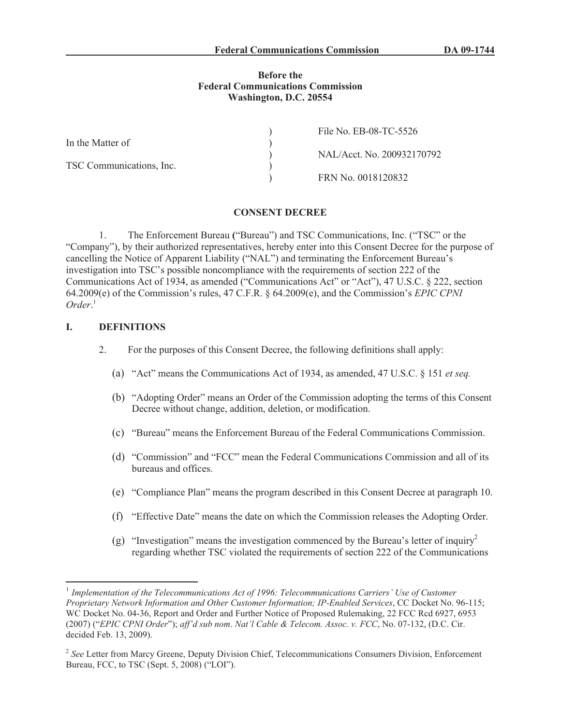## **Before the Federal Communications Commission Washington, D.C. 20554**

|                          | File No. EB-08-TC-5526     |
|--------------------------|----------------------------|
| In the Matter of         |                            |
|                          | NAL/Acct. No. 200932170792 |
| TSC Communications, Inc. |                            |
|                          | FRN No. 0018120832         |

### **CONSENT DECREE**

1. The Enforcement Bureau **(**"Bureau") and TSC Communications, Inc. ("TSC" or the "Company"), by their authorized representatives, hereby enter into this Consent Decree for the purpose of cancelling the Notice of Apparent Liability ("NAL") and terminating the Enforcement Bureau's investigation into TSC's possible noncompliance with the requirements of section 222 of the Communications Act of 1934, as amended ("Communications Act" or "Act"), 47 U.S.C. § 222, section 64.2009(e) of the Commission's rules, 47 C.F.R. § 64.2009(e), and the Commission's *EPIC CPNI Order*. 1

## **I. DEFINITIONS**

- 2. For the purposes of this Consent Decree, the following definitions shall apply:
	- (a) "Act" means the Communications Act of 1934, as amended, 47 U.S.C. § 151 *et seq.*
	- (b) "Adopting Order" means an Order of the Commission adopting the terms of this Consent Decree without change, addition, deletion, or modification.
	- (c) "Bureau" means the Enforcement Bureau of the Federal Communications Commission.
	- (d) "Commission" and "FCC" mean the Federal Communications Commission and all of its bureaus and offices.
	- (e) "Compliance Plan" means the program described in this Consent Decree at paragraph 10.
	- (f) "Effective Date" means the date on which the Commission releases the Adopting Order.
	- (g) "Investigation" means the investigation commenced by the Bureau's letter of inquiry<sup>2</sup> regarding whether TSC violated the requirements of section 222 of the Communications

<sup>&</sup>lt;sup>1</sup> Implementation of the Telecommunications Act of 1996: Telecommunications Carriers' Use of Customer *Proprietary Network Information and Other Customer Information; IP-Enabled Services*, CC Docket No. 96-115; WC Docket No. 04-36, Report and Order and Further Notice of Proposed Rulemaking, 22 FCC Rcd 6927, 6953 (2007) ("*EPIC CPNI Order*"); *aff'd sub nom*. *Nat'l Cable & Telecom. Assoc. v. FCC*, No. 07-132, (D.C. Cir. decided Feb. 13, 2009).

<sup>&</sup>lt;sup>2</sup> See Letter from Marcy Greene, Deputy Division Chief, Telecommunications Consumers Division, Enforcement Bureau, FCC, to TSC (Sept. 5, 2008) ("LOI").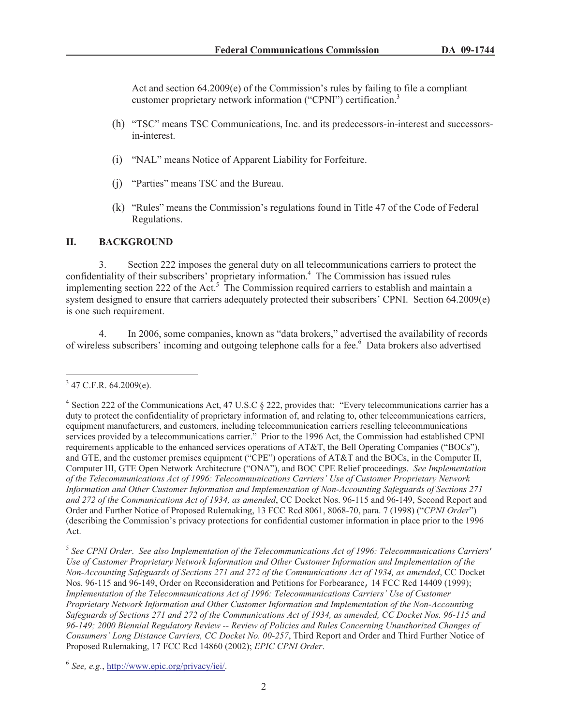Act and section 64.2009(e) of the Commission's rules by failing to file a compliant customer proprietary network information ("CPNI") certification.<sup>3</sup>

- (h) "TSC" means TSC Communications, Inc. and its predecessors-in-interest and successorsin-interest.
- (i) "NAL" means Notice of Apparent Liability for Forfeiture.
- (j) "Parties" means TSC and the Bureau.
- (k) "Rules" means the Commission's regulations found in Title 47 of the Code of Federal Regulations.

# **II. BACKGROUND**

3. Section 222 imposes the general duty on all telecommunications carriers to protect the confidentiality of their subscribers' proprietary information.<sup>4</sup> The Commission has issued rules implementing section 222 of the Act.<sup>5</sup> The Commission required carriers to establish and maintain a system designed to ensure that carriers adequately protected their subscribers' CPNI. Section 64.2009(e) is one such requirement.

4. In 2006, some companies, known as "data brokers," advertised the availability of records of wireless subscribers' incoming and outgoing telephone calls for a fee.<sup>6</sup> Data brokers also advertised

 $3$  47 C.F.R. 64.2009(e).

<sup>&</sup>lt;sup>4</sup> Section 222 of the Communications Act, 47 U.S.C § 222, provides that: "Every telecommunications carrier has a duty to protect the confidentiality of proprietary information of, and relating to, other telecommunications carriers, equipment manufacturers, and customers, including telecommunication carriers reselling telecommunications services provided by a telecommunications carrier." Prior to the 1996 Act, the Commission had established CPNI requirements applicable to the enhanced services operations of AT&T, the Bell Operating Companies ("BOCs"), and GTE, and the customer premises equipment ("CPE") operations of AT&T and the BOCs, in the Computer II, Computer III, GTE Open Network Architecture ("ONA"), and BOC CPE Relief proceedings. *See Implementation of the Telecommunications Act of 1996: Telecommunications Carriers' Use of Customer Proprietary Network Information and Other Customer Information and Implementation of Non-Accounting Safeguards of Sections 271 and 272 of the Communications Act of 1934, as amended*, CC Docket Nos. 96-115 and 96-149, Second Report and Order and Further Notice of Proposed Rulemaking, 13 FCC Rcd 8061, 8068-70, para. 7 (1998) ("*CPNI Order*") (describing the Commission's privacy protections for confidential customer information in place prior to the 1996 Act.

<sup>5</sup> *See CPNI Order*. *See also Implementation of the Telecommunications Act of 1996: Telecommunications Carriers' Use of Customer Proprietary Network Information and Other Customer Information and Implementation of the Non-Accounting Safeguards of Sections 271 and 272 of the Communications Act of 1934, as amended*, CC Docket Nos. 96-115 and 96-149, Order on Reconsideration and Petitions for Forbearance, 14 FCC Rcd 14409 (1999); *Implementation of the Telecommunications Act of 1996: Telecommunications Carriers' Use of Customer Proprietary Network Information and Other Customer Information and Implementation of the Non-Accounting Safeguards of Sections 271 and 272 of the Communications Act of 1934, as amended, CC Docket Nos. 96-115 and 96-149; 2000 Biennial Regulatory Review -- Review of Policies and Rules Concerning Unauthorized Changes of Consumers' Long Distance Carriers, CC Docket No. 00-257*, Third Report and Order and Third Further Notice of Proposed Rulemaking, 17 FCC Rcd 14860 (2002); *EPIC CPNI Order*.

<sup>6</sup> *See, e.g.*, http://www.epic.org/privacy/iei/.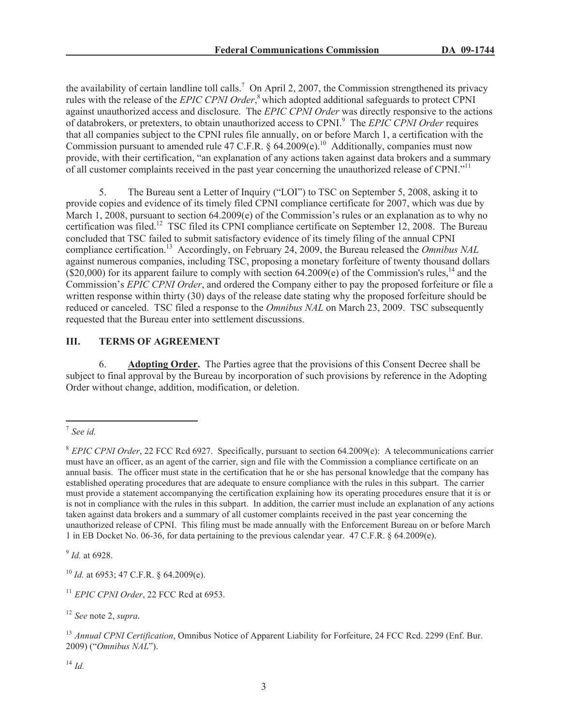the availability of certain landline toll calls.<sup>7</sup> On April 2, 2007, the Commission strengthened its privacy rules with the release of the *EPIC CPNI Order*, <sup>8</sup> which adopted additional safeguards to protect CPNI against unauthorized access and disclosure. The *EPIC CPNI Order* was directly responsive to the actions of databrokers, or pretexters, to obtain unauthorized access to CPNI.<sup>9</sup> The *EPIC CPNI Order* requires that all companies subject to the CPNI rules file annually, on or before March 1, a certification with the Commission pursuant to amended rule 47 C.F.R. § 64.2009(e).<sup>10</sup> Additionally, companies must now provide, with their certification, "an explanation of any actions taken against data brokers and a summary of all customer complaints received in the past year concerning the unauthorized release of CPNI."<sup>11</sup>

5. The Bureau sent a Letter of Inquiry ("LOI") to TSC on September 5, 2008, asking it to provide copies and evidence of its timely filed CPNI compliance certificate for 2007, which was due by March 1, 2008, pursuant to section 64.2009(e) of the Commission's rules or an explanation as to why no certification was filed.<sup>12</sup> TSC filed its CPNI compliance certificate on September 12, 2008. The Bureau concluded that TSC failed to submit satisfactory evidence of its timely filing of the annual CPNI compliance certification.<sup>13</sup> Accordingly, on February 24, 2009, the Bureau released the *Omnibus NAL* against numerous companies, including TSC, proposing a monetary forfeiture of twenty thousand dollars  $(S20,000)$  for its apparent failure to comply with section 64.2009(e) of the Commission's rules,<sup>14</sup> and the Commission's *EPIC CPNI Order*, and ordered the Company either to pay the proposed forfeiture or file a written response within thirty (30) days of the release date stating why the proposed forfeiture should be reduced or canceled. TSC filed a response to the *Omnibus NAL* on March 23, 2009. TSC subsequently requested that the Bureau enter into settlement discussions.

# **III. TERMS OF AGREEMENT**

6. **Adopting Order.** The Parties agree that the provisions of this Consent Decree shall be subject to final approval by the Bureau by incorporation of such provisions by reference in the Adopting Order without change, addition, modification, or deletion.

<sup>7</sup> *See id.*

<sup>8</sup> *EPIC CPNI Order*, 22 FCC Rcd 6927. Specifically, pursuant to section 64.2009(e): A telecommunications carrier must have an officer, as an agent of the carrier, sign and file with the Commission a compliance certificate on an annual basis. The officer must state in the certification that he or she has personal knowledge that the company has established operating procedures that are adequate to ensure compliance with the rules in this subpart. The carrier must provide a statement accompanying the certification explaining how its operating procedures ensure that it is or is not in compliance with the rules in this subpart. In addition, the carrier must include an explanation of any actions taken against data brokers and a summary of all customer complaints received in the past year concerning the unauthorized release of CPNI. This filing must be made annually with the Enforcement Bureau on or before March 1 in EB Docket No. 06-36, for data pertaining to the previous calendar year. 47 C.F.R. § 64.2009(e).

<sup>9</sup> *Id.* at 6928.

<sup>10</sup> *Id.* at 6953; 47 C.F.R. § 64.2009(e).

<sup>&</sup>lt;sup>11</sup> *EPIC CPNI Order*, 22 FCC Rcd at 6953.

<sup>12</sup> *See* note 2, *supra.*

<sup>&</sup>lt;sup>13</sup> Annual CPNI Certification, Omnibus Notice of Apparent Liability for Forfeiture, 24 FCC Rcd. 2299 (Enf. Bur. 2009) ("*Omnibus NAL*").

<sup>14</sup> *Id.*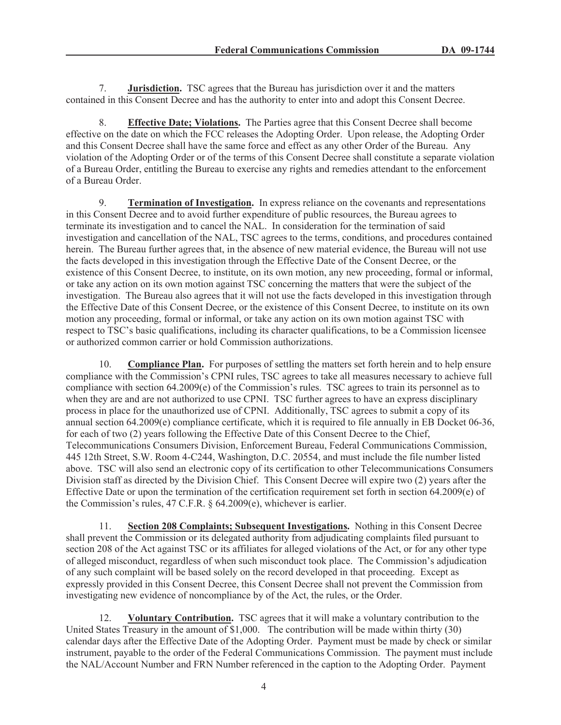7. **Jurisdiction.** TSC agrees that the Bureau has jurisdiction over it and the matters contained in this Consent Decree and has the authority to enter into and adopt this Consent Decree.

8. **Effective Date; Violations.** The Parties agree that this Consent Decree shall become effective on the date on which the FCC releases the Adopting Order. Upon release, the Adopting Order and this Consent Decree shall have the same force and effect as any other Order of the Bureau. Any violation of the Adopting Order or of the terms of this Consent Decree shall constitute a separate violation of a Bureau Order, entitling the Bureau to exercise any rights and remedies attendant to the enforcement of a Bureau Order.

9. **Termination of Investigation.** In express reliance on the covenants and representations in this Consent Decree and to avoid further expenditure of public resources, the Bureau agrees to terminate its investigation and to cancel the NAL. In consideration for the termination of said investigation and cancellation of the NAL, TSC agrees to the terms, conditions, and procedures contained herein. The Bureau further agrees that, in the absence of new material evidence, the Bureau will not use the facts developed in this investigation through the Effective Date of the Consent Decree, or the existence of this Consent Decree, to institute, on its own motion, any new proceeding, formal or informal, or take any action on its own motion against TSC concerning the matters that were the subject of the investigation. The Bureau also agrees that it will not use the facts developed in this investigation through the Effective Date of this Consent Decree, or the existence of this Consent Decree, to institute on its own motion any proceeding, formal or informal, or take any action on its own motion against TSC with respect to TSC's basic qualifications, including its character qualifications, to be a Commission licensee or authorized common carrier or hold Commission authorizations.

10. **Compliance Plan.** For purposes of settling the matters set forth herein and to help ensure compliance with the Commission's CPNI rules, TSC agrees to take all measures necessary to achieve full compliance with section 64.2009(e) of the Commission's rules. TSC agrees to train its personnel as to when they are and are not authorized to use CPNI. TSC further agrees to have an express disciplinary process in place for the unauthorized use of CPNI. Additionally, TSC agrees to submit a copy of its annual section 64.2009(e) compliance certificate, which it is required to file annually in EB Docket 06-36, for each of two (2) years following the Effective Date of this Consent Decree to the Chief, Telecommunications Consumers Division, Enforcement Bureau, Federal Communications Commission, 445 12th Street, S.W. Room 4-C244, Washington, D.C. 20554, and must include the file number listed above. TSC will also send an electronic copy of its certification to other Telecommunications Consumers Division staff as directed by the Division Chief. This Consent Decree will expire two (2) years after the Effective Date or upon the termination of the certification requirement set forth in section 64.2009(e) of the Commission's rules, 47 C.F.R. § 64.2009(e), whichever is earlier.

11. **Section 208 Complaints; Subsequent Investigations.** Nothing in this Consent Decree shall prevent the Commission or its delegated authority from adjudicating complaints filed pursuant to section 208 of the Act against TSC or its affiliates for alleged violations of the Act, or for any other type of alleged misconduct, regardless of when such misconduct took place. The Commission's adjudication of any such complaint will be based solely on the record developed in that proceeding. Except as expressly provided in this Consent Decree, this Consent Decree shall not prevent the Commission from investigating new evidence of noncompliance by of the Act, the rules, or the Order.

12. **Voluntary Contribution.** TSC agrees that it will make a voluntary contribution to the United States Treasury in the amount of \$1,000. The contribution will be made within thirty (30) calendar days after the Effective Date of the Adopting Order. Payment must be made by check or similar instrument, payable to the order of the Federal Communications Commission. The payment must include the NAL/Account Number and FRN Number referenced in the caption to the Adopting Order. Payment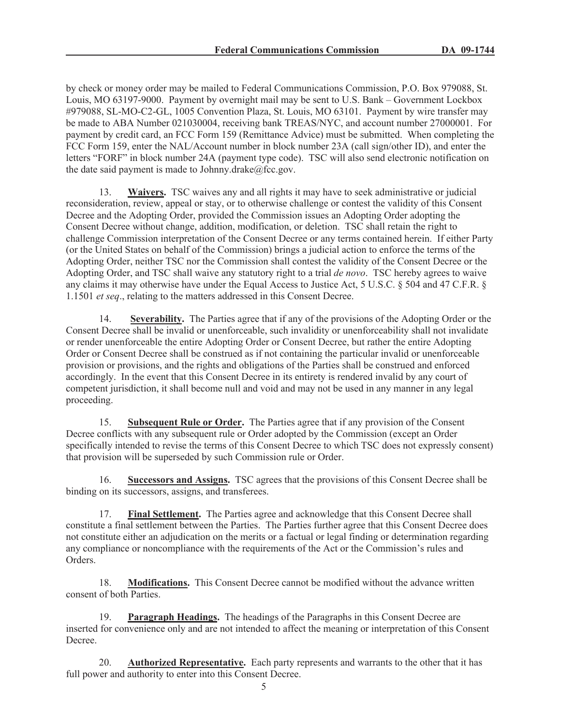by check or money order may be mailed to Federal Communications Commission, P.O. Box 979088, St. Louis, MO 63197-9000. Payment by overnight mail may be sent to U.S. Bank – Government Lockbox #979088, SL-MO-C2-GL, 1005 Convention Plaza, St. Louis, MO 63101. Payment by wire transfer may be made to ABA Number 021030004, receiving bank TREAS/NYC, and account number 27000001. For payment by credit card, an FCC Form 159 (Remittance Advice) must be submitted. When completing the FCC Form 159, enter the NAL/Account number in block number 23A (call sign/other ID), and enter the letters "FORF" in block number 24A (payment type code). TSC will also send electronic notification on the date said payment is made to Johnny.drake $@$ fcc.gov.

13. **Waivers.** TSC waives any and all rights it may have to seek administrative or judicial reconsideration, review, appeal or stay, or to otherwise challenge or contest the validity of this Consent Decree and the Adopting Order, provided the Commission issues an Adopting Order adopting the Consent Decree without change, addition, modification, or deletion. TSC shall retain the right to challenge Commission interpretation of the Consent Decree or any terms contained herein. If either Party (or the United States on behalf of the Commission) brings a judicial action to enforce the terms of the Adopting Order, neither TSC nor the Commission shall contest the validity of the Consent Decree or the Adopting Order, and TSC shall waive any statutory right to a trial *de novo*. TSC hereby agrees to waive any claims it may otherwise have under the Equal Access to Justice Act, 5 U.S.C. § 504 and 47 C.F.R. § 1.1501 *et seq*., relating to the matters addressed in this Consent Decree.

14. **Severability.** The Parties agree that if any of the provisions of the Adopting Order or the Consent Decree shall be invalid or unenforceable, such invalidity or unenforceability shall not invalidate or render unenforceable the entire Adopting Order or Consent Decree, but rather the entire Adopting Order or Consent Decree shall be construed as if not containing the particular invalid or unenforceable provision or provisions, and the rights and obligations of the Parties shall be construed and enforced accordingly. In the event that this Consent Decree in its entirety is rendered invalid by any court of competent jurisdiction, it shall become null and void and may not be used in any manner in any legal proceeding.

15. **Subsequent Rule or Order.** The Parties agree that if any provision of the Consent Decree conflicts with any subsequent rule or Order adopted by the Commission (except an Order specifically intended to revise the terms of this Consent Decree to which TSC does not expressly consent) that provision will be superseded by such Commission rule or Order.

16. **Successors and Assigns.** TSC agrees that the provisions of this Consent Decree shall be binding on its successors, assigns, and transferees.

17. **Final Settlement.** The Parties agree and acknowledge that this Consent Decree shall constitute a final settlement between the Parties. The Parties further agree that this Consent Decree does not constitute either an adjudication on the merits or a factual or legal finding or determination regarding any compliance or noncompliance with the requirements of the Act or the Commission's rules and Orders.

18. **Modifications.** This Consent Decree cannot be modified without the advance written consent of both Parties.

19. **Paragraph Headings.** The headings of the Paragraphs in this Consent Decree are inserted for convenience only and are not intended to affect the meaning or interpretation of this Consent Decree.

20. **Authorized Representative.** Each party represents and warrants to the other that it has full power and authority to enter into this Consent Decree.